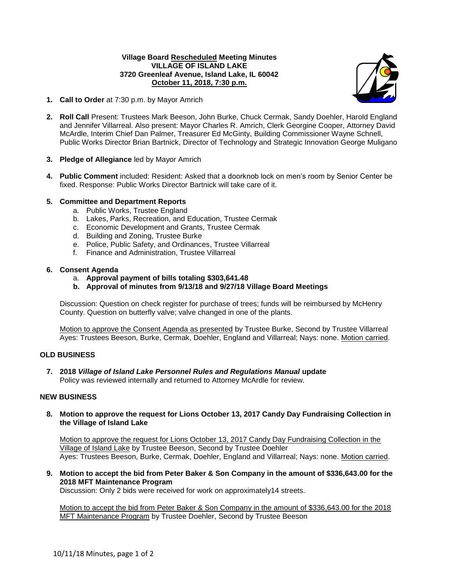# **Village Board Rescheduled Meeting Minutes VILLAGE OF ISLAND LAKE 3720 Greenleaf Avenue, Island Lake, IL 60042 October 11, 2018, 7:30 p.m.**



- **1. Call to Order** at 7:30 p.m. by Mayor Amrich
- **2. Roll Call** Present: Trustees Mark Beeson, John Burke, Chuck Cermak, Sandy Doehler, Harold England and Jennifer Villarreal. Also present: Mayor Charles R. Amrich, Clerk Georgine Cooper, Attorney David McArdle, Interim Chief Dan Palmer, Treasurer Ed McGinty, Building Commissioner Wayne Schnell, Public Works Director Brian Bartnick, Director of Technology and Strategic Innovation George Muligano
- **3. Pledge of Allegiance** led by Mayor Amrich
- **4. Public Comment** included: Resident: Asked that a doorknob lock on men's room by Senior Center be fixed. Response: Public Works Director Bartnick will take care of it.

# **5. Committee and Department Reports**

- a. Public Works, Trustee England
- b. Lakes, Parks, Recreation, and Education, Trustee Cermak
- c. Economic Development and Grants, Trustee Cermak
- d. Building and Zoning, Trustee Burke
- e. Police, Public Safety, and Ordinances, Trustee Villarreal
- f. Finance and Administration, Trustee Villarreal

# **6. Consent Agenda**

- a. **Approval payment of bills totaling \$303,641.48**
- **b. Approval of minutes from 9/13/18 and 9/27/18 Village Board Meetings**

Discussion: Question on check register for purchase of trees; funds will be reimbursed by McHenry County. Question on butterfly valve; valve changed in one of the plants.

Motion to approve the Consent Agenda as presented by Trustee Burke, Second by Trustee Villarreal Ayes: Trustees Beeson, Burke, Cermak, Doehler, England and Villarreal; Nays: none. Motion carried.

### **OLD BUSINESS**

**7. 2018** *Village of Island Lake Personnel Rules and Regulations Manual* **update** Policy was reviewed internally and returned to Attorney McArdle for review.

### **NEW BUSINESS**

**8. Motion to approve the request for Lions October 13, 2017 Candy Day Fundraising Collection in the Village of Island Lake**

Motion to approve the request for Lions October 13, 2017 Candy Day Fundraising Collection in the Village of Island Lake by Trustee Beeson, Second by Trustee Doehler Ayes: Trustees Beeson, Burke, Cermak, Doehler, England and Villarreal; Nays: none. Motion carried.

**9. Motion to accept the bid from Peter Baker & Son Company in the amount of \$336,643.00 for the 2018 MFT Maintenance Program**

Discussion: Only 2 bids were received for work on approximately14 streets.

Motion to accept the bid from Peter Baker & Son Company in the amount of \$336,643.00 for the 2018 MFT Maintenance Program by Trustee Doehler, Second by Trustee Beeson